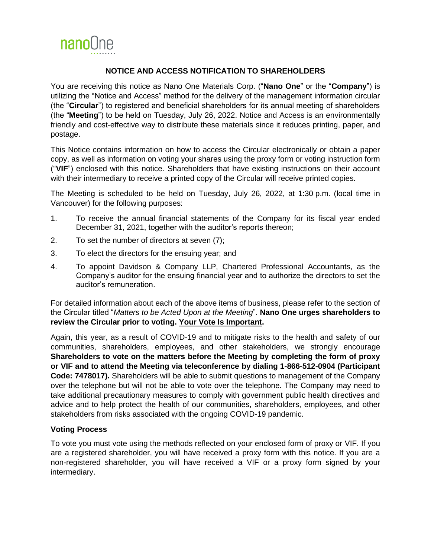

## **NOTICE AND ACCESS NOTIFICATION TO SHAREHOLDERS**

You are receiving this notice as Nano One Materials Corp. ("**Nano One**" or the "**Company**") is utilizing the "Notice and Access" method for the delivery of the management information circular (the "**Circular**") to registered and beneficial shareholders for its annual meeting of shareholders (the "**Meeting**") to be held on Tuesday, July 26, 2022. Notice and Access is an environmentally friendly and cost-effective way to distribute these materials since it reduces printing, paper, and postage.

This Notice contains information on how to access the Circular electronically or obtain a paper copy, as well as information on voting your shares using the proxy form or voting instruction form ("**VIF**") enclosed with this notice. Shareholders that have existing instructions on their account with their intermediary to receive a printed copy of the Circular will receive printed copies.

The Meeting is scheduled to be held on Tuesday, July 26, 2022, at 1:30 p.m. (local time in Vancouver) for the following purposes:

- 1. To receive the annual financial statements of the Company for its fiscal year ended December 31, 2021, together with the auditor's reports thereon;
- 2. To set the number of directors at seven (7);
- 3. To elect the directors for the ensuing year; and
- 4. To appoint Davidson & Company LLP, Chartered Professional Accountants, as the Company's auditor for the ensuing financial year and to authorize the directors to set the auditor's remuneration.

For detailed information about each of the above items of business, please refer to the section of the Circular titled "*Matters to be Acted Upon at the Meeting*". **Nano One urges shareholders to review the Circular prior to voting. Your Vote Is Important.**

Again, this year, as a result of COVID-19 and to mitigate risks to the health and safety of our communities, shareholders, employees, and other stakeholders, we strongly encourage **Shareholders to vote on the matters before the Meeting by completing the form of proxy or VIF and to attend the Meeting via teleconference by dialing 1-866-512-0904 (Participant Code: 7478017).** Shareholders will be able to submit questions to management of the Company over the telephone but will not be able to vote over the telephone. The Company may need to take additional precautionary measures to comply with government public health directives and advice and to help protect the health of our communities, shareholders, employees, and other stakeholders from risks associated with the ongoing COVID-19 pandemic.

## **Voting Process**

To vote you must vote using the methods reflected on your enclosed form of proxy or VIF. If you are a registered shareholder, you will have received a proxy form with this notice. If you are a non-registered shareholder, you will have received a VIF or a proxy form signed by your intermediary.